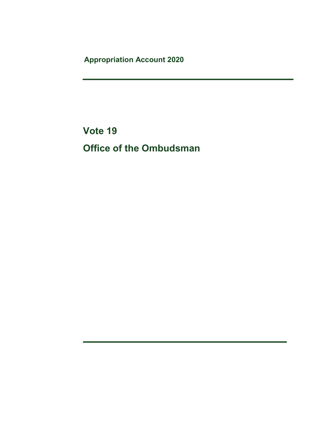Appropriation Account 2020

Vote 19 Office of the Ombudsman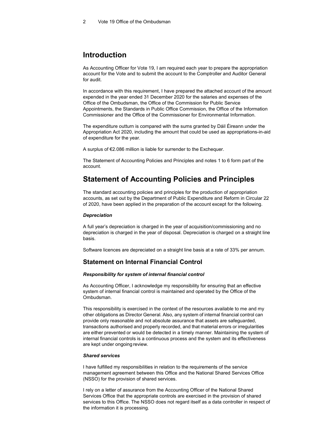## Introduction

As Accounting Officer for Vote 19, I am required each year to prepare the appropriation account for the Vote and to submit the account to the Comptroller and Auditor General for audit.

In accordance with this requirement, I have prepared the attached account of the amount expended in the year ended 31 December 2020 for the salaries and expenses of the Office of the Ombudsman, the Office of the Commission for Public Service Appointments, the Standards in Public Office Commission, the Office of the Information Commissioner and the Office of the Commissioner for Environmental Information.

The expenditure outturn is compared with the sums granted by Dáil Éireann under the Appropriation Act 2020, including the amount that could be used as appropriations-in-aid of expenditure for the year.

A surplus of €2.086 million is liable for surrender to the Exchequer.

The Statement of Accounting Policies and Principles and notes 1 to 6 form part of the account.

## Statement of Accounting Policies and Principles

The standard accounting policies and principles for the production of appropriation accounts, as set out by the Department of Public Expenditure and Reform in Circular 22 of 2020, have been applied in the preparation of the account except for the following.

#### **Depreciation**

A full year's depreciation is charged in the year of acquisition/commissioning and no depreciation is charged in the year of disposal. Depreciation is charged on a straight line basis.

Software licences are depreciated on a straight line basis at a rate of 33% per annum.

### Statement on Internal Financial Control

#### Responsibility for system of internal financial control

As Accounting Officer, I acknowledge my responsibility for ensuring that an effective system of internal financial control is maintained and operated by the Office of the Ombudsman.

This responsibility is exercised in the context of the resources available to me and my other obligations as Director General. Also, any system of internal financial control can provide only reasonable and not absolute assurance that assets are safeguarded, transactions authorised and properly recorded, and that material errors or irregularities are either prevented or would be detected in a timely manner. Maintaining the system of internal financial controls is a continuous process and the system and its effectiveness are kept under ongoing review.

#### Shared services

I have fulfilled my responsibilities in relation to the requirements of the service management agreement between this Office and the National Shared Services Office (NSSO) for the provision of shared services.

I rely on a letter of assurance from the Accounting Officer of the National Shared Services Office that the appropriate controls are exercised in the provision of shared services to this Office. The NSSO does not regard itself as a data controller in respect of the information it is processing.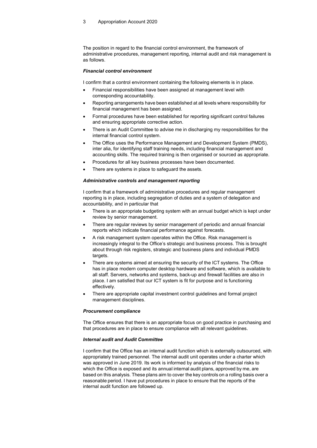The position in regard to the financial control environment, the framework of administrative procedures, management reporting, internal audit and risk management is as follows.

#### Financial control environment

I confirm that a control environment containing the following elements is in place.

- Financial responsibilities have been assigned at management level with corresponding accountability.
- Reporting arrangements have been established at all levels where responsibility for financial management has been assigned.
- Formal procedures have been established for reporting significant control failures and ensuring appropriate corrective action.
- There is an Audit Committee to advise me in discharging my responsibilities for the internal financial control system.
- The Office uses the Performance Management and Development System (PMDS), inter alia, for identifying staff training needs, including financial management and accounting skills. The required training is then organised or sourced as appropriate.
- Procedures for all key business processes have been documented.
- There are systems in place to safeguard the assets.

#### Administrative controls and management reporting

I confirm that a framework of administrative procedures and regular management reporting is in place, including segregation of duties and a system of delegation and accountability, and in particular that

- There is an appropriate budgeting system with an annual budget which is kept under review by senior management.
- There are regular reviews by senior management of periodic and annual financial reports which indicate financial performance against forecasts.
- A risk management system operates within the Office. Risk management is increasingly integral to the Office's strategic and business process. This is brought about through risk registers, strategic and business plans and individual PMDS targets.
- There are systems aimed at ensuring the security of the ICT systems. The Office has in place modern computer desktop hardware and software, which is available to all staff. Servers, networks and systems, back-up and firewall facilities are also in place. I am satisfied that our ICT system is fit for purpose and is functioning effectively.
- There are appropriate capital investment control guidelines and formal project management disciplines.

### Procurement compliance

The Office ensures that there is an appropriate focus on good practice in purchasing and that procedures are in place to ensure compliance with all relevant guidelines.

#### Internal audit and Audit Committee

I confirm that the Office has an internal audit function which is externally outsourced, with appropriately trained personnel. The internal audit unit operates under a charter which was approved in June 2019. Its work is informed by analysis of the financial risks to which the Office is exposed and its annual internal audit plans, approved by me, are based on this analysis. These plans aim to cover the key controls on a rolling basis over a reasonable period. I have put procedures in place to ensure that the reports of the internal audit function are followed up.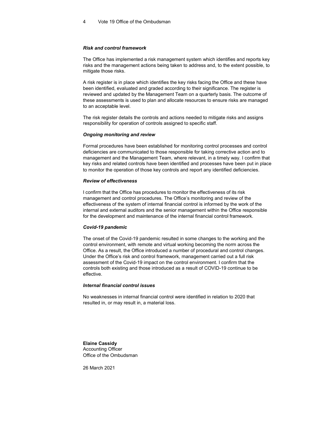#### Risk and control framework

The Office has implemented a risk management system which identifies and reports key risks and the management actions being taken to address and, to the extent possible, to mitigate those risks.

A risk register is in place which identifies the key risks facing the Office and these have been identified, evaluated and graded according to their significance. The register is reviewed and updated by the Management Team on a quarterly basis. The outcome of these assessments is used to plan and allocate resources to ensure risks are managed to an acceptable level.

The risk register details the controls and actions needed to mitigate risks and assigns responsibility for operation of controls assigned to specific staff.

#### Ongoing monitoring and review

Formal procedures have been established for monitoring control processes and control deficiencies are communicated to those responsible for taking corrective action and to management and the Management Team, where relevant, in a timely way. I confirm that key risks and related controls have been identified and processes have been put in place to monitor the operation of those key controls and report any identified deficiencies.

#### Review of effectiveness

I confirm that the Office has procedures to monitor the effectiveness of its risk management and control procedures. The Office's monitoring and review of the effectiveness of the system of internal financial control is informed by the work of the internal and external auditors and the senior management within the Office responsible for the development and maintenance of the internal financial control framework.

#### Covid-19 pandemic

The onset of the Covid-19 pandemic resulted in some changes to the working and the control environment, with remote and virtual working becoming the norm across the Office. As a result, the Office introduced a number of procedural and control changes. Under the Office's risk and control framework, management carried out a full risk assessment of the Covid-19 impact on the control environment. I confirm that the controls both existing and those introduced as a result of COVID-19 continue to be effective.

#### Internal financial control issues

No weaknesses in internal financial control were identified in relation to 2020 that resulted in, or may result in, a material loss.

Elaine Cassidy Accounting Officer Office of the Ombudsman

26 March 2021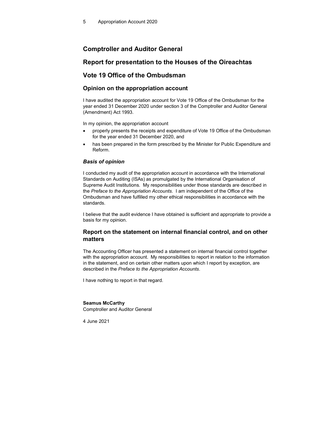### Comptroller and Auditor General

### Report for presentation to the Houses of the Oireachtas

### Vote 19 Office of the Ombudsman

### Opinion on the appropriation account

I have audited the appropriation account for Vote 19 Office of the Ombudsman for the year ended 31 December 2020 under section 3 of the Comptroller and Auditor General (Amendment) Act 1993.

In my opinion, the appropriation account

- properly presents the receipts and expenditure of Vote 19 Office of the Ombudsman for the year ended 31 December 2020, and
- has been prepared in the form prescribed by the Minister for Public Expenditure and Reform.

#### Basis of opinion

I conducted my audit of the appropriation account in accordance with the International Standards on Auditing (ISAs) as promulgated by the International Organisation of Supreme Audit Institutions. My responsibilities under those standards are described in the Preface to the Appropriation Accounts. I am independent of the Office of the Ombudsman and have fulfilled my other ethical responsibilities in accordance with the standards.

I believe that the audit evidence I have obtained is sufficient and appropriate to provide a basis for my opinion.

### Report on the statement on internal financial control, and on other matters

The Accounting Officer has presented a statement on internal financial control together with the appropriation account. My responsibilities to report in relation to the information in the statement, and on certain other matters upon which I report by exception, are described in the Preface to the Appropriation Accounts.

I have nothing to report in that regard.

#### Seamus McCarthy

Comptroller and Auditor General

4 June 2021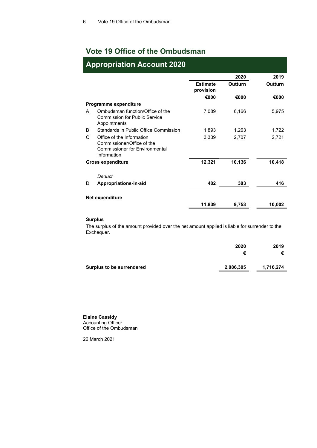# Vote 19 Office of the Ombudsman

| <b>Appropriation Account 2020</b> |                                                                                                                 |                              |         |         |  |
|-----------------------------------|-----------------------------------------------------------------------------------------------------------------|------------------------------|---------|---------|--|
|                                   |                                                                                                                 |                              | 2020    | 2019    |  |
|                                   |                                                                                                                 | <b>Estimate</b><br>provision | Outturn | Outturn |  |
|                                   |                                                                                                                 | €000                         | €000    | €000    |  |
|                                   | Programme expenditure                                                                                           |                              |         |         |  |
| A                                 | Ombudsman function/Office of the<br>Commission for Public Service<br>Appointments                               | 7,089                        | 6,166   | 5,975   |  |
| B.                                | Standards in Public Office Commission                                                                           | 1,893                        | 1,263   | 1,722   |  |
| C                                 | Office of the Information<br>Commissioner/Office of the<br><b>Commissioner for Environmental</b><br>Information | 3,339                        | 2,707   | 2,721   |  |
|                                   | <b>Gross expenditure</b>                                                                                        | 12,321                       | 10,136  | 10,418  |  |
| D                                 | Deduct<br>Appropriations-in-aid                                                                                 | 482                          | 383     | 416     |  |
|                                   |                                                                                                                 |                              |         |         |  |
|                                   | Net expenditure                                                                                                 |                              |         |         |  |
|                                   |                                                                                                                 | 11,839                       | 9,753   | 10,002  |  |

### Surplus

The surplus of the amount provided over the net amount applied is liable for surrender to the Exchequer.

|                           | 2020      | 2019<br>€ |
|---------------------------|-----------|-----------|
| Surplus to be surrendered | 2,086,305 | 1,716,274 |

Elaine Cassidy Accounting Officer Office of the Ombudsman

26 March 2021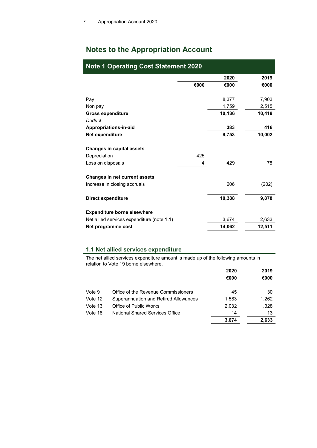# Notes to the Appropriation Account

| <b>Note 1 Operating Cost Statement 2020</b> |      |        |        |  |
|---------------------------------------------|------|--------|--------|--|
|                                             |      | 2020   | 2019   |  |
|                                             | €000 | €000   | €000   |  |
| Pay                                         |      | 8,377  | 7,903  |  |
| Non pay                                     |      | 1,759  | 2,515  |  |
| <b>Gross expenditure</b>                    |      | 10,136 | 10,418 |  |
| Deduct                                      |      |        |        |  |
| Appropriations-in-aid                       |      | 383    | 416    |  |
| Net expenditure                             |      | 9,753  | 10,002 |  |
| Changes in capital assets                   |      |        |        |  |
| Depreciation                                | 425  |        |        |  |
| Loss on disposals                           | 4    | 429    | 78     |  |
| Changes in net current assets               |      |        |        |  |
| Increase in closing accruals                |      | 206    | (202)  |  |
| <b>Direct expenditure</b>                   |      | 10,388 | 9,878  |  |
| <b>Expenditure borne elsewhere</b>          |      |        |        |  |
| Net allied services expenditure (note 1.1)  |      | 3,674  | 2,633  |  |
| Net programme cost                          |      | 14,062 | 12,511 |  |

### 1.1 Net allied services expenditure

The net allied services expenditure amount is made up of the following amounts in relation to Vote 19 borne elsewhere.

|         |                                       | 2020  | 2019  |
|---------|---------------------------------------|-------|-------|
|         |                                       | €000  | €000  |
| Vote 9  | Office of the Revenue Commissioners   | 45    | 30    |
| Vote 12 | Superannuation and Retired Allowances | 1,583 | 1,262 |
| Vote 13 | Office of Public Works                | 2,032 | 1,328 |
| Vote 18 | National Shared Services Office       | 14    | 13    |
|         |                                       | 3.674 | 2,633 |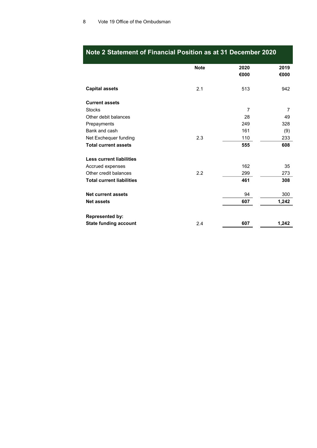|                                  | <b>Note</b> | 2020           | 2019  |
|----------------------------------|-------------|----------------|-------|
|                                  |             | €000           | €000  |
|                                  |             |                |       |
| <b>Capital assets</b>            | 2.1         | 513            | 942   |
|                                  |             |                |       |
| <b>Current assets</b>            |             |                |       |
| <b>Stocks</b>                    |             | $\overline{7}$ | 7     |
| Other debit balances             |             | 28             | 49    |
| Prepayments                      |             | 249            | 328   |
| Bank and cash                    |             | 161            | (9)   |
| Net Exchequer funding            | 2.3         | 110            | 233   |
| <b>Total current assets</b>      |             | 555            | 608   |
|                                  |             |                |       |
| <b>Less current liabilities</b>  |             |                |       |
| Accrued expenses                 |             | 162            | 35    |
| Other credit balances            | 2.2         | 299            | 273   |
| <b>Total current liabilities</b> |             | 461            | 308   |
| <b>Net current assets</b>        |             | 94             | 300   |
| <b>Net assets</b>                |             | 607            |       |
|                                  |             |                | 1,242 |
| <b>Represented by:</b>           |             |                |       |
| <b>State funding account</b>     | 2.4         | 607            | 1,242 |

# Note 2 Statement of Financial Position as at 31 December 2020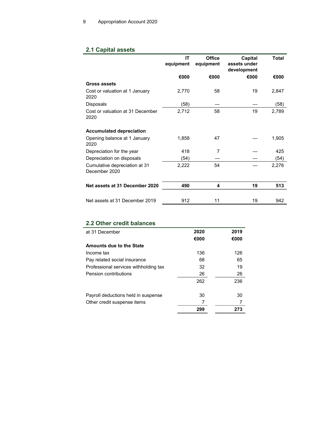### 2.1 Capital assets

|                                                | ΙT<br>equipment | <b>Office</b><br>equipment | Capital<br>assets under<br>development | <b>Total</b> |
|------------------------------------------------|-----------------|----------------------------|----------------------------------------|--------------|
|                                                | €000            | €000                       | €000                                   | €000         |
| Gross assets                                   |                 |                            |                                        |              |
| Cost or valuation at 1 January<br>2020         | 2,770           | 58                         | 19                                     | 2,847        |
| Disposals                                      | (58)            |                            |                                        | (58)         |
| Cost or valuation at 31 December<br>2020       | 2,712           | 58                         | 19                                     | 2,789        |
| <b>Accumulated depreciation</b>                |                 |                            |                                        |              |
| Opening balance at 1 January<br>2020           | 1,858           | 47                         |                                        | 1,905        |
| Depreciation for the year                      | 418             | 7                          |                                        | 425          |
| Depreciation on disposals                      | (54)            |                            |                                        | (54)         |
| Cumulative depreciation at 31<br>December 2020 | 2,222           | 54                         |                                        | 2,276        |
| Net assets at 31 December 2020                 | 490             | 4                          | 19                                     | 513          |
|                                                |                 |                            |                                        |              |
| Net assets at 31 December 2019                 | 912             | 11                         | 19                                     | 942          |

# 2.2 Other credit balances

| at 31 December                        | 2020 | 2019 |
|---------------------------------------|------|------|
|                                       | €000 | €000 |
| Amounts due to the State              |      |      |
| Income tax                            | 136  | 126  |
| Pay related social insurance          | 68   | 65   |
| Professional services withholding tax | 32   | 19   |
| Pension contributions                 | 26   | 26   |
|                                       | 262  | 236  |
|                                       |      |      |
| Payroll deductions held in suspense   | 30   | 30   |
| Other credit suspense items           |      |      |
|                                       | 299  | 273  |
|                                       |      |      |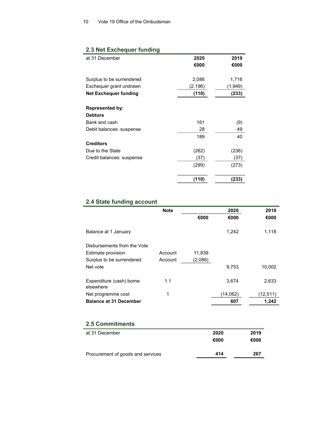### 2.3 Net Exchequer funding

| at 31 December               | 2020     | 2019    |
|------------------------------|----------|---------|
|                              | €000     | €000    |
|                              |          |         |
| Surplus to be surrendered    | 2,086    | 1,716   |
| Exchequer grant undrawn      | (2, 196) | (1,949) |
| <b>Net Exchequer funding</b> | (110)    | (233)   |
|                              |          |         |
| <b>Represented by:</b>       |          |         |
| <b>Debtors</b>               |          |         |
| Bank and cash                | 161      | (9)     |
| Debit balances: suspense     | 28       | 49      |
|                              | 189      | 40      |
| <b>Creditors</b>             |          |         |
| Due to the State             | (262)    | (236)   |
| Credit balances: suspense    | (37)     | (37)    |
|                              | (299)    | (273)   |
|                              |          |         |
|                              | (110)    | (233)   |

### 2.4 State funding account

|                                       | <b>Note</b> |         | 2020     | 2019     |  |
|---------------------------------------|-------------|---------|----------|----------|--|
|                                       |             | €000    | €000     | €000     |  |
| Balance at 1 January                  |             |         | 1,242    | 1,118    |  |
| Disbursements from the Vote           |             |         |          |          |  |
| Estimate provision                    | Account     | 11,839  |          |          |  |
| Surplus to be surrendered             | Account     | (2,086) |          |          |  |
| Net vote                              |             |         | 9,753    | 10,002   |  |
| Expenditure (cash) borne<br>elsewhere | 1.1         |         | 3.674    | 2,633    |  |
| Net programme cost                    | 1           |         | (14,062) | (12,511) |  |
| <b>Balance at 31 December</b>         |             |         | 607      | 1.242    |  |

### 2.5 Commitments

| at 31 December                    | 2020 | 2019 |
|-----------------------------------|------|------|
|                                   | €000 | €000 |
|                                   |      |      |
| Procurement of goods and services | 414  | 267  |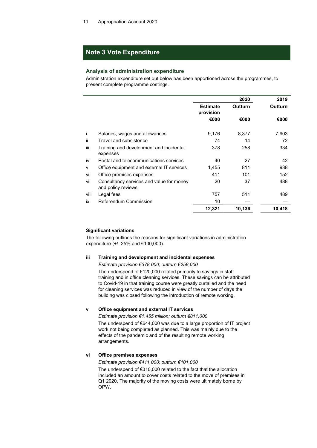### Note 3 Vote Expenditure

#### Analysis of administration expenditure

Administration expenditure set out below has been apportioned across the programmes, to present complete programme costings.

|      |                                                                |                              | 2020           | 2019    |
|------|----------------------------------------------------------------|------------------------------|----------------|---------|
|      |                                                                | <b>Estimate</b><br>provision | <b>Outturn</b> | Outturn |
|      |                                                                | €000                         | €000           | €000    |
| ı    | Salaries, wages and allowances                                 | 9,176                        | 8,377          | 7,903   |
| ii.  | Travel and subsistence                                         | 74                           | 14             | 72      |
| iii  | Training and development and incidental<br>expenses            | 378                          | 258            | 334     |
| iv   | Postal and telecommunications services                         | 40                           | 27             | 42      |
| v    | Office equipment and external IT services                      | 1,455                        | 811            | 938     |
| vi   | Office premises expenses                                       | 411                          | 101            | 152     |
| vii  | Consultancy services and value for money<br>and policy reviews | 20                           | 37             | 488     |
| viii | Legal fees                                                     | 757                          | 511            | 489     |
| ix   | Referendum Commission                                          | 10                           |                |         |
|      |                                                                | 12,321                       | 10,136         | 10,418  |
|      |                                                                |                              |                |         |

### Significant variations

The following outlines the reasons for significant variations in administration expenditure (+/- 25% and €100,000).

#### iii Training and development and incidental expenses

Estimate provision €378,000; outturn €258,000

 The underspend of €120,000 related primarily to savings in staff training and in office cleaning services. These savings can be attributed to Covid-19 in that training course were greatly curtailed and the need for cleaning services was reduced in view of the number of days the building was closed following the introduction of remote working.

#### v Office equipment and external IT services

Estimate provision €1.455 million; outturn €811,000

 The underspend of €644,000 was due to a large proportion of IT project work not being completed as planned. This was mainly due to the effects of the pandemic and of the resulting remote working arrangements.

#### vi Office premises expenses

Estimate provision €411,000; outturn €101,000 The underspend of €310,000 related to the fact that the allocation included an amount to cover costs related to the move of premises in Q1 2020. The majority of the moving costs were ultimately borne by OPW.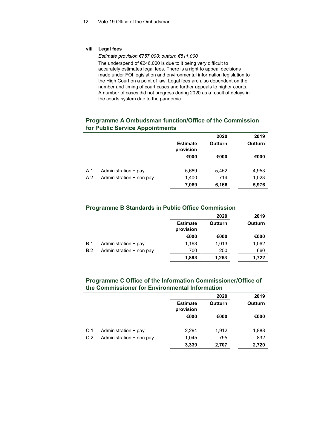### viii Legal fees

Estimate provision €757,000; outturn €511,000

The underspend of €246,000 is due to it being very difficult to accurately estimates legal fees. There is a right to appeal decisions made under FOI legislation and environmental information legislation to the High Court on a point of law. Legal fees are also dependent on the number and timing of court cases and further appeals to higher courts. A number of cases did not progress during 2020 as a result of delays in the courts system due to the pandemic.

### Programme A Ombudsman function/Office of the Commission for Public Service Appointments

|     |                          |                              | 2020    | 2019    |
|-----|--------------------------|------------------------------|---------|---------|
|     |                          | <b>Estimate</b><br>provision | Outturn | Outturn |
|     |                          | €000                         | €000    | €000    |
| A.1 | Administration $-$ pay   | 5,689                        | 5,452   | 4,953   |
| A.2 | Administration - non pay | 1,400                        | 714     | 1,023   |
|     |                          | 7,089                        | 6,166   | 5,976   |

### Programme B Standards in Public Office Commission

|            |                          |                              | 2020    | 2019    |
|------------|--------------------------|------------------------------|---------|---------|
|            |                          | <b>Estimate</b><br>provision | Outturn | Outturn |
|            |                          | €000                         | €000    | €000    |
| <b>B.1</b> | Administration $-$ pay   | 1.193                        | 1,013   | 1,062   |
| B.2        | Administration - non pay | 700                          | 250     | 660     |
|            |                          | 1,893                        | 1,263   | 1.722   |

### Programme C Office of the Information Commissioner/Office of the Commissioner for Environmental Information

|     |                          |                              | 2020    | 2019    |
|-----|--------------------------|------------------------------|---------|---------|
|     |                          | <b>Estimate</b><br>provision | Outturn | Outturn |
|     |                          | €000                         | €000    | €000    |
| C.1 | Administration $-$ pay   | 2,294                        | 1,912   | 1,888   |
| C.2 | Administration - non pay | 1,045                        | 795     | 832     |
|     |                          | 3,339                        | 2,707   | 2,720   |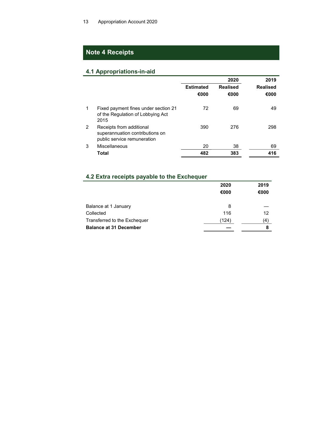## Note 4 Receipts

## 4.1 Appropriations-in-aid

|   |                                                                                            |                  | 2020            | 2019            |
|---|--------------------------------------------------------------------------------------------|------------------|-----------------|-----------------|
|   |                                                                                            | <b>Estimated</b> | <b>Realised</b> | <b>Realised</b> |
|   |                                                                                            | €000             | €000            | €000            |
|   | Fixed payment fines under section 21<br>of the Regulation of Lobbying Act<br>2015          | 72               | 69              | 49              |
| 2 | Receipts from additional<br>superannuation contributions on<br>public service remuneration | 390              | 276             | 298             |
| 3 | Miscellaneous                                                                              | 20               | 38              | 69              |
|   | Total                                                                                      | 482              | 383             | 416             |

# 4.2 Extra receipts payable to the Exchequer

|                               | 2020<br>€000 | 2019<br>€000 |
|-------------------------------|--------------|--------------|
| Balance at 1 January          | 8            |              |
| Collected                     | 116          | 12           |
| Transferred to the Exchequer  | (124)        | (4)          |
| <b>Balance at 31 December</b> |              | 8            |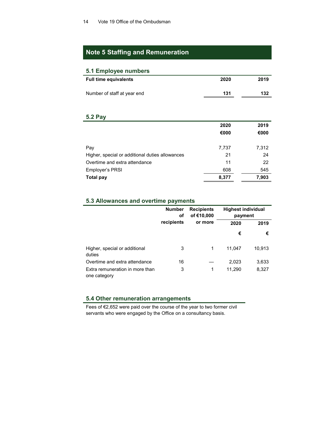## Note 5 Staffing and Remuneration

### 5.1 Employee numbers

| <b>Full time equivalents</b> | 2020 | 2019 |
|------------------------------|------|------|
| Number of staff at year end  | 131  | 132  |

# 5.2 Pay

|                                                 | 2020  | 2019  |
|-------------------------------------------------|-------|-------|
|                                                 | €000  | €000  |
|                                                 |       |       |
| Pay                                             | 7,737 | 7,312 |
| Higher, special or additional duties allowances | 21    | 24    |
| Overtime and extra attendance                   | 11    | 22    |
| Employer's PRSI                                 | 608   | 545   |
| <b>Total pay</b>                                | 8,377 | 7,903 |

### 5.3 Allowances and overtime payments

|                                                 | <b>Number</b><br>оf | <b>Recipients</b><br>of €10,000 |        | <b>Highest individual</b><br>payment |  |
|-------------------------------------------------|---------------------|---------------------------------|--------|--------------------------------------|--|
|                                                 | recipients          | or more                         | 2020   | 2019                                 |  |
|                                                 |                     |                                 | €      | €                                    |  |
| Higher, special or additional<br>duties         | 3                   | 1                               | 11,047 | 10,913                               |  |
| Overtime and extra attendance                   | 16                  |                                 | 2,023  | 3,633                                |  |
| Extra remuneration in more than<br>one category | 3                   | 1                               | 11,290 | 8,327                                |  |

### 5.4 Other remuneration arrangements

Fees of €2,652 were paid over the course of the year to two former civil servants who were engaged by the Office on a consultancy basis.